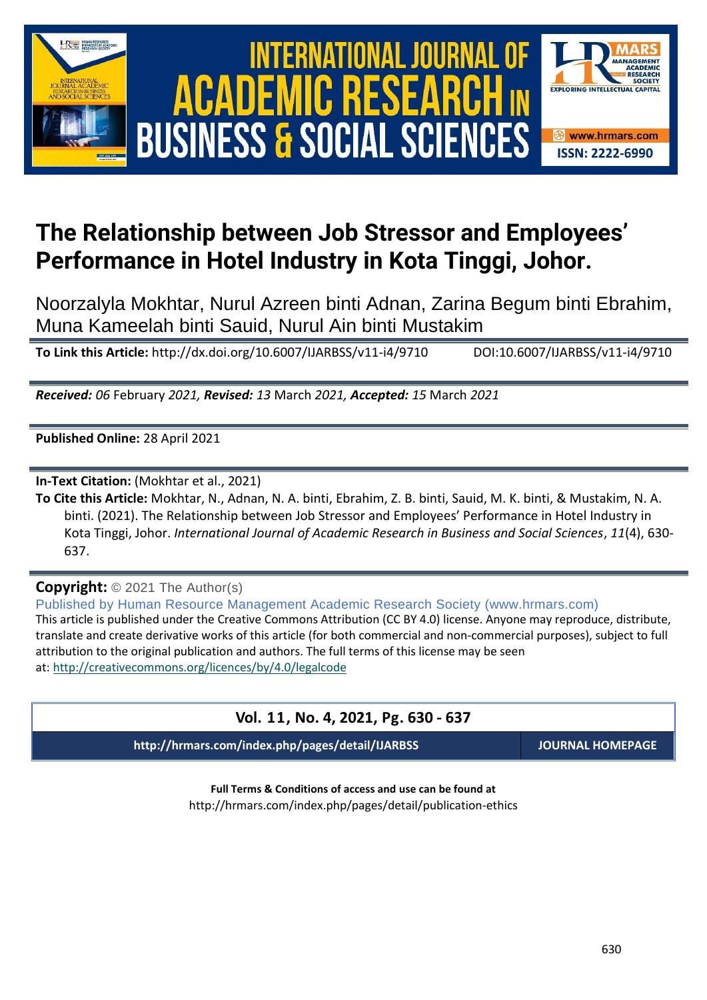





# **The Relationship between Job Stressor and Employees' Performance in Hotel Industry in Kota Tinggi, Johor.**

Noorzalyla Mokhtar, Nurul Azreen binti Adnan, Zarina Begum binti Ebrahim, Muna Kameelah binti Sauid, Nurul Ain binti Mustakim

**To Link this Article:** http://dx.doi.org/10.6007/IJARBSS/v11-i4/9710 DOI:10.6007/IJARBSS/v11-i4/9710

*Received: 06* February *2021, Revised: 13* March *2021, Accepted: 15* March *2021*

**Published Online:** 28 April 2021

**In-Text Citation:** (Mokhtar et al., 2021)

**To Cite this Article:** Mokhtar, N., Adnan, N. A. binti, Ebrahim, Z. B. binti, Sauid, M. K. binti, & Mustakim, N. A. binti. (2021). The Relationship between Job Stressor and Employees' Performance in Hotel Industry in Kota Tinggi, Johor. *International Journal of Academic Research in Business and Social Sciences*, *11*(4), 630- 637.

**Copyright:** © 2021 The Author(s)

Published by Human Resource Management Academic Research Society (www.hrmars.com) This article is published under the Creative Commons Attribution (CC BY 4.0) license. Anyone may reproduce, distribute, translate and create derivative works of this article (for both commercial and non-commercial purposes), subject to full attribution to the original publication and authors. The full terms of this license may be seen at: <http://creativecommons.org/licences/by/4.0/legalcode>

### **Vol. 11, No. 4, 2021, Pg. 630 - 637**

**http://hrmars.com/index.php/pages/detail/IJARBSS JOURNAL HOMEPAGE**

**Full Terms & Conditions of access and use can be found at** http://hrmars.com/index.php/pages/detail/publication-ethics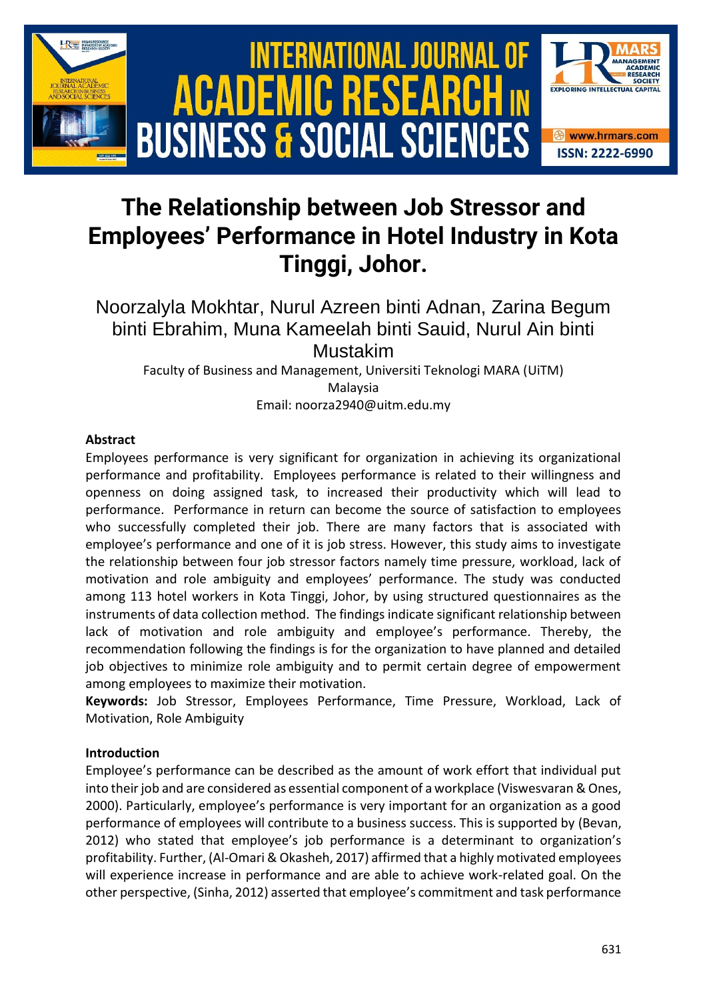

# **The Relationship between Job Stressor and Employees' Performance in Hotel Industry in Kota Tinggi, Johor.**

Noorzalyla Mokhtar, Nurul Azreen binti Adnan, Zarina Begum binti Ebrahim, Muna Kameelah binti Sauid, Nurul Ain binti Mustakim

Faculty of Business and Management, Universiti Teknologi MARA (UiTM) Malaysia Email: noorza2940@uitm.edu.my

#### **Abstract**

Employees performance is very significant for organization in achieving its organizational performance and profitability. Employees performance is related to their willingness and openness on doing assigned task, to increased their productivity which will lead to performance. Performance in return can become the source of satisfaction to employees who successfully completed their job. There are many factors that is associated with employee's performance and one of it is job stress. However, this study aims to investigate the relationship between four job stressor factors namely time pressure, workload, lack of motivation and role ambiguity and employees' performance. The study was conducted among 113 hotel workers in Kota Tinggi, Johor, by using structured questionnaires as the instruments of data collection method. The findings indicate significant relationship between lack of motivation and role ambiguity and employee's performance. Thereby, the recommendation following the findings is for the organization to have planned and detailed job objectives to minimize role ambiguity and to permit certain degree of empowerment among employees to maximize their motivation.

**Keywords:** Job Stressor, Employees Performance, Time Pressure, Workload, Lack of Motivation, Role Ambiguity

#### **Introduction**

Employee's performance can be described as the amount of work effort that individual put into their job and are considered as essential component of a workplace (Viswesvaran & Ones, 2000). Particularly, employee's performance is very important for an organization as a good performance of employees will contribute to a business success. This is supported by (Bevan, 2012) who stated that employee's job performance is a determinant to organization's profitability. Further, (Al-Omari & Okasheh, 2017) affirmed that a highly motivated employees will experience increase in performance and are able to achieve work-related goal. On the other perspective, (Sinha, 2012) asserted that employee's commitment and task performance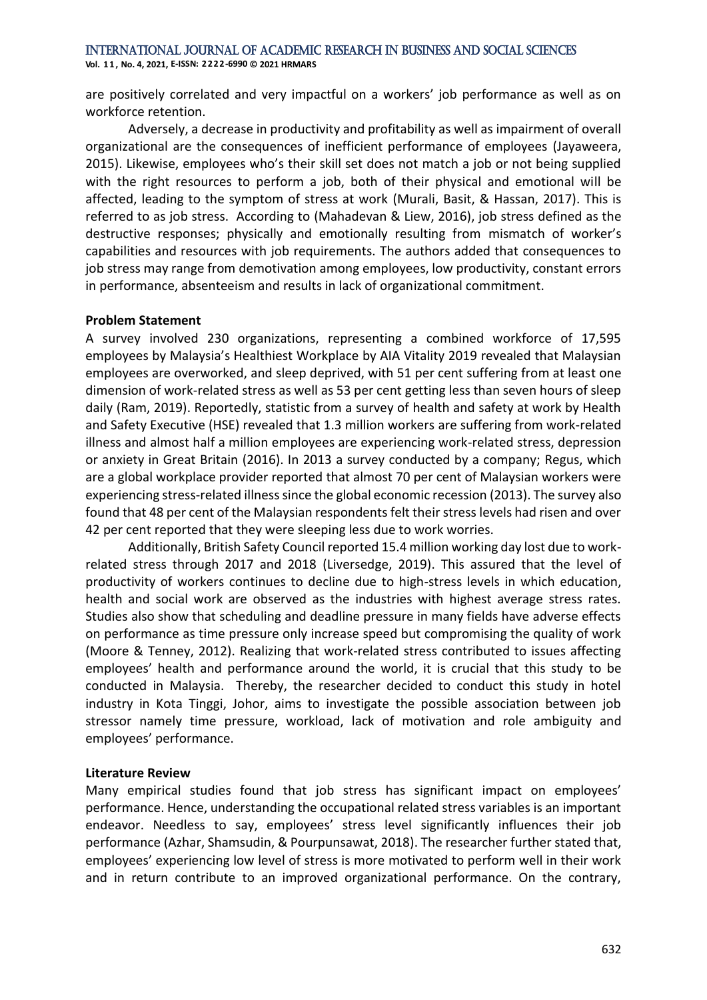**Vol. 1 1 , No. 4, 2021, E-ISSN: 2222-6990 © 2021 HRMARS**

are positively correlated and very impactful on a workers' job performance as well as on workforce retention.

Adversely, a decrease in productivity and profitability as well as impairment of overall organizational are the consequences of inefficient performance of employees (Jayaweera, 2015). Likewise, employees who's their skill set does not match a job or not being supplied with the right resources to perform a job, both of their physical and emotional will be affected, leading to the symptom of stress at work (Murali, Basit, & Hassan, 2017). This is referred to as job stress. According to (Mahadevan & Liew, 2016), job stress defined as the destructive responses; physically and emotionally resulting from mismatch of worker's capabilities and resources with job requirements. The authors added that consequences to job stress may range from demotivation among employees, low productivity, constant errors in performance, absenteeism and results in lack of organizational commitment.

#### **Problem Statement**

A survey involved 230 organizations, representing a combined workforce of 17,595 employees by Malaysia's Healthiest Workplace by AIA Vitality 2019 revealed that Malaysian employees are overworked, and sleep deprived, with 51 per cent suffering from at least one dimension of work-related stress as well as 53 per cent getting less than seven hours of sleep daily (Ram, 2019). Reportedly, statistic from a survey of health and safety at work by Health and Safety Executive (HSE) revealed that 1.3 million workers are suffering from work-related illness and almost half a million employees are experiencing work-related stress, depression or anxiety in Great Britain (2016). In 2013 a survey conducted by a company; Regus, which are a global workplace provider reported that almost 70 per cent of Malaysian workers were experiencing stress-related illness since the global economic recession (2013). The survey also found that 48 per cent of the Malaysian respondents felt their stress levels had risen and over 42 per cent reported that they were sleeping less due to work worries.

Additionally, British Safety Council reported 15.4 million working day lost due to workrelated stress through 2017 and 2018 (Liversedge, 2019). This assured that the level of productivity of workers continues to decline due to high-stress levels in which education, health and social work are observed as the industries with highest average stress rates. Studies also show that scheduling and deadline pressure in many fields have adverse effects on performance as time pressure only increase speed but compromising the quality of work (Moore & Tenney, 2012). Realizing that work-related stress contributed to issues affecting employees' health and performance around the world, it is crucial that this study to be conducted in Malaysia. Thereby, the researcher decided to conduct this study in hotel industry in Kota Tinggi, Johor, aims to investigate the possible association between job stressor namely time pressure, workload, lack of motivation and role ambiguity and employees' performance.

#### **Literature Review**

Many empirical studies found that job stress has significant impact on employees' performance. Hence, understanding the occupational related stress variables is an important endeavor. Needless to say, employees' stress level significantly influences their job performance (Azhar, Shamsudin, & Pourpunsawat, 2018). The researcher further stated that, employees' experiencing low level of stress is more motivated to perform well in their work and in return contribute to an improved organizational performance. On the contrary,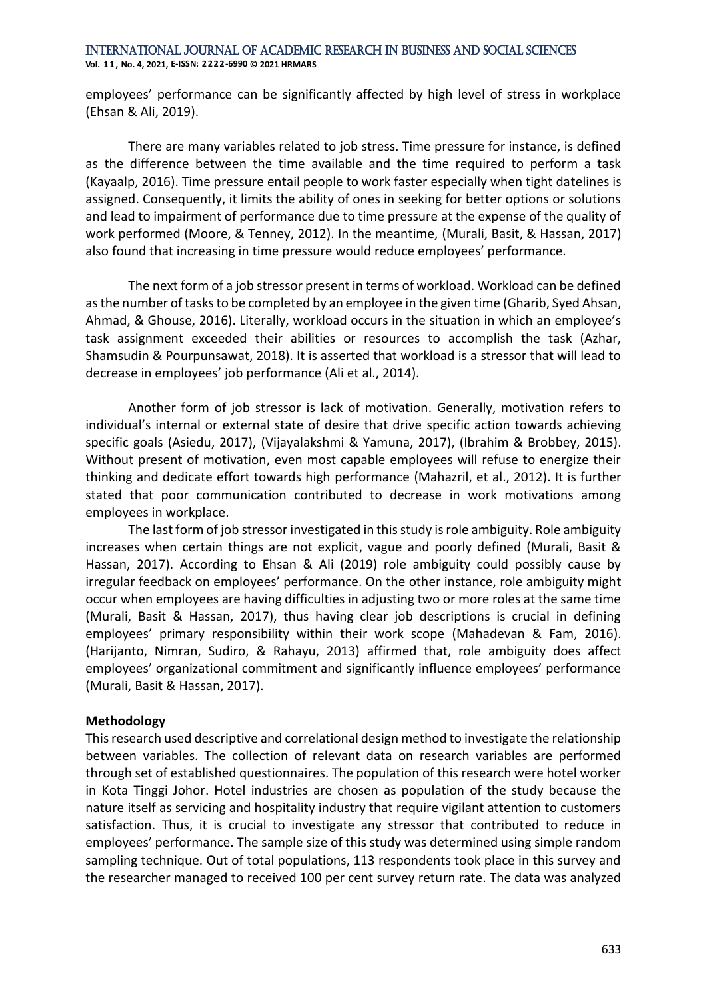#### International Journal of Academic Research in Business and Social Sciences **Vol. 1 1 , No. 4, 2021, E-ISSN: 2222-6990 © 2021 HRMARS**

employees' performance can be significantly affected by high level of stress in workplace (Ehsan & Ali, 2019).

There are many variables related to job stress. Time pressure for instance, is defined as the difference between the time available and the time required to perform a task (Kayaalp, 2016). Time pressure entail people to work faster especially when tight datelines is assigned. Consequently, it limits the ability of ones in seeking for better options or solutions and lead to impairment of performance due to time pressure at the expense of the quality of work performed (Moore, & Tenney, 2012). In the meantime, (Murali, Basit, & Hassan, 2017) also found that increasing in time pressure would reduce employees' performance.

The next form of a job stressor present in terms of workload. Workload can be defined as the number of tasks to be completed by an employee in the given time (Gharib, Syed Ahsan, Ahmad, & Ghouse, 2016). Literally, workload occurs in the situation in which an employee's task assignment exceeded their abilities or resources to accomplish the task (Azhar, Shamsudin & Pourpunsawat, 2018). It is asserted that workload is a stressor that will lead to decrease in employees' job performance (Ali et al., 2014).

Another form of job stressor is lack of motivation. Generally, motivation refers to individual's internal or external state of desire that drive specific action towards achieving specific goals (Asiedu, 2017), (Vijayalakshmi & Yamuna, 2017), (Ibrahim & Brobbey, 2015). Without present of motivation, even most capable employees will refuse to energize their thinking and dedicate effort towards high performance (Mahazril, et al., 2012). It is further stated that poor communication contributed to decrease in work motivations among employees in workplace.

The last form of job stressor investigated in this study is role ambiguity. Role ambiguity increases when certain things are not explicit, vague and poorly defined (Murali, Basit & Hassan, 2017). According to Ehsan & Ali (2019) role ambiguity could possibly cause by irregular feedback on employees' performance. On the other instance, role ambiguity might occur when employees are having difficulties in adjusting two or more roles at the same time (Murali, Basit & Hassan, 2017), thus having clear job descriptions is crucial in defining employees' primary responsibility within their work scope (Mahadevan & Fam, 2016). (Harijanto, Nimran, Sudiro, & Rahayu, 2013) affirmed that, role ambiguity does affect employees' organizational commitment and significantly influence employees' performance (Murali, Basit & Hassan, 2017).

#### **Methodology**

This research used descriptive and correlational design method to investigate the relationship between variables. The collection of relevant data on research variables are performed through set of established questionnaires. The population of this research were hotel worker in Kota Tinggi Johor. Hotel industries are chosen as population of the study because the nature itself as servicing and hospitality industry that require vigilant attention to customers satisfaction. Thus, it is crucial to investigate any stressor that contributed to reduce in employees' performance. The sample size of this study was determined using simple random sampling technique. Out of total populations, 113 respondents took place in this survey and the researcher managed to received 100 per cent survey return rate. The data was analyzed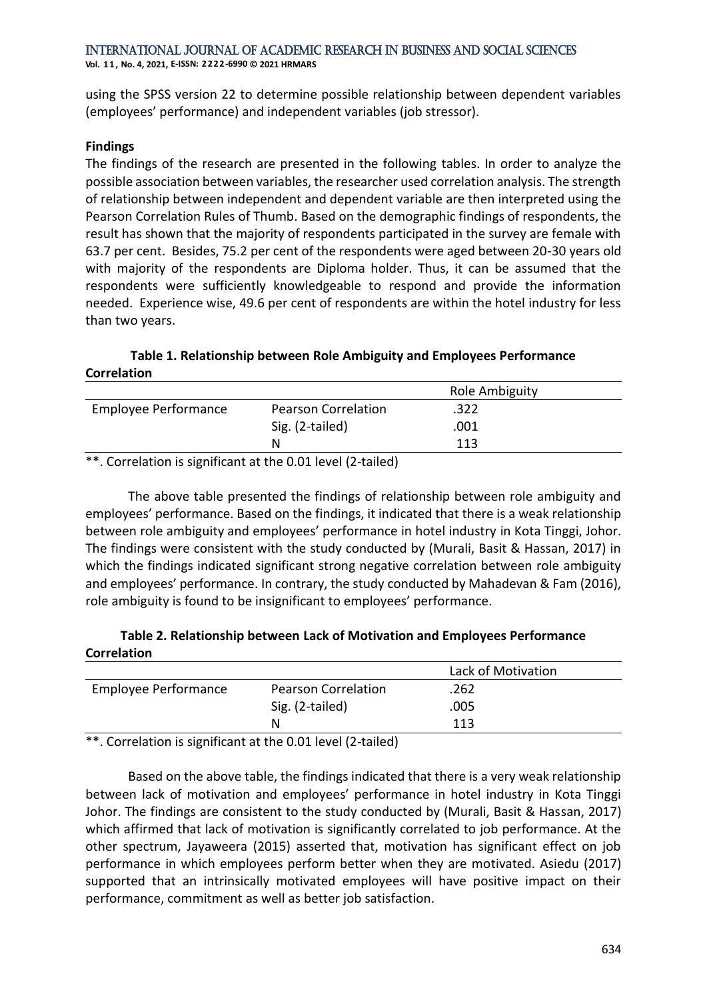International Journal of Academic Research in Business and Social Sciences **Vol. 1 1 , No. 4, 2021, E-ISSN: 2222-6990 © 2021 HRMARS**

using the SPSS version 22 to determine possible relationship between dependent variables (employees' performance) and independent variables (job stressor).

#### **Findings**

The findings of the research are presented in the following tables. In order to analyze the possible association between variables, the researcher used correlation analysis. The strength of relationship between independent and dependent variable are then interpreted using the Pearson Correlation Rules of Thumb. Based on the demographic findings of respondents, the result has shown that the majority of respondents participated in the survey are female with 63.7 per cent. Besides, 75.2 per cent of the respondents were aged between 20-30 years old with majority of the respondents are Diploma holder. Thus, it can be assumed that the respondents were sufficiently knowledgeable to respond and provide the information needed. Experience wise, 49.6 per cent of respondents are within the hotel industry for less than two years.

#### **Table 1. Relationship between Role Ambiguity and Employees Performance Correlation**

|                      |                            | Role Ambiguity |  |
|----------------------|----------------------------|----------------|--|
| Employee Performance | <b>Pearson Correlation</b> | .322           |  |
|                      | Sig. (2-tailed)            | .001           |  |
|                      | N                          | 113            |  |
|                      |                            |                |  |

\*\*. Correlation is significant at the 0.01 level (2-tailed)

The above table presented the findings of relationship between role ambiguity and employees' performance. Based on the findings, it indicated that there is a weak relationship between role ambiguity and employees' performance in hotel industry in Kota Tinggi, Johor. The findings were consistent with the study conducted by (Murali, Basit & Hassan, 2017) in which the findings indicated significant strong negative correlation between role ambiguity and employees' performance. In contrary, the study conducted by Mahadevan & Fam (2016), role ambiguity is found to be insignificant to employees' performance.

#### **Table 2. Relationship between Lack of Motivation and Employees Performance Correlation**

|                             |                            | Lack of Motivation |  |
|-----------------------------|----------------------------|--------------------|--|
| <b>Employee Performance</b> | <b>Pearson Correlation</b> | .262               |  |
|                             | Sig. (2-tailed)            | .005               |  |
|                             | N                          | 113                |  |

\*\*. Correlation is significant at the 0.01 level (2-tailed)

Based on the above table, the findings indicated that there is a very weak relationship between lack of motivation and employees' performance in hotel industry in Kota Tinggi Johor. The findings are consistent to the study conducted by (Murali, Basit & Hassan, 2017) which affirmed that lack of motivation is significantly correlated to job performance. At the other spectrum, Jayaweera (2015) asserted that, motivation has significant effect on job performance in which employees perform better when they are motivated. Asiedu (2017) supported that an intrinsically motivated employees will have positive impact on their performance, commitment as well as better job satisfaction.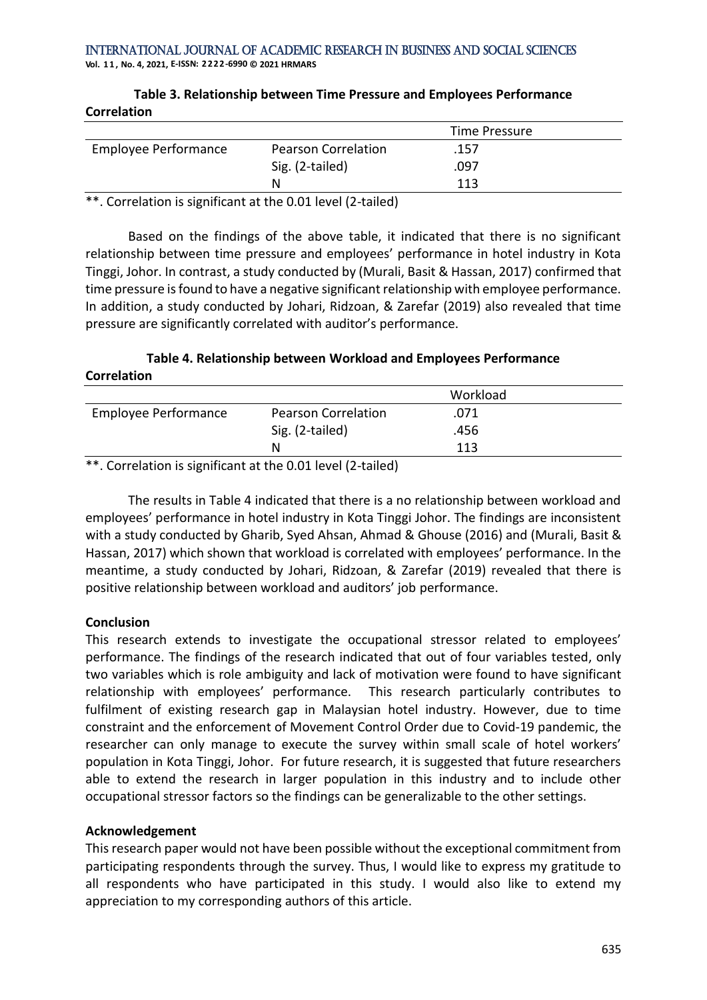**Vol. 1 1 , No. 4, 2021, E-ISSN: 2222-6990 © 2021 HRMARS**

| <u>conciduon</u>            |                            |               |  |
|-----------------------------|----------------------------|---------------|--|
|                             |                            | Time Pressure |  |
| <b>Employee Performance</b> | <b>Pearson Correlation</b> | .157          |  |
|                             | Sig. (2-tailed)            | .097          |  |
|                             | N                          | 113           |  |
|                             |                            |               |  |

**Table 3. Relationship between Time Pressure and Employees Performance Correlation**

\*\*. Correlation is significant at the 0.01 level (2-tailed)

Based on the findings of the above table, it indicated that there is no significant relationship between time pressure and employees' performance in hotel industry in Kota Tinggi, Johor. In contrast, a study conducted by (Murali, Basit & Hassan, 2017) confirmed that time pressure is found to have a negative significant relationship with employee performance. In addition, a study conducted by Johari, Ridzoan, & Zarefar (2019) also revealed that time pressure are significantly correlated with auditor's performance.

#### **Table 4. Relationship between Workload and Employees Performance Correlation**

|                             |                            | Workload |  |
|-----------------------------|----------------------------|----------|--|
| <b>Employee Performance</b> | <b>Pearson Correlation</b> | .071     |  |
|                             | Sig. (2-tailed)            | .456     |  |
|                             | N                          | 113      |  |

\*\*. Correlation is significant at the 0.01 level (2-tailed)

The results in Table 4 indicated that there is a no relationship between workload and employees' performance in hotel industry in Kota Tinggi Johor. The findings are inconsistent with a study conducted by Gharib, Syed Ahsan, Ahmad & Ghouse (2016) and (Murali, Basit & Hassan, 2017) which shown that workload is correlated with employees' performance. In the meantime, a study conducted by Johari, Ridzoan, & Zarefar (2019) revealed that there is positive relationship between workload and auditors' job performance.

### **Conclusion**

This research extends to investigate the occupational stressor related to employees' performance. The findings of the research indicated that out of four variables tested, only two variables which is role ambiguity and lack of motivation were found to have significant relationship with employees' performance. This research particularly contributes to fulfilment of existing research gap in Malaysian hotel industry. However, due to time constraint and the enforcement of Movement Control Order due to Covid-19 pandemic, the researcher can only manage to execute the survey within small scale of hotel workers' population in Kota Tinggi, Johor. For future research, it is suggested that future researchers able to extend the research in larger population in this industry and to include other occupational stressor factors so the findings can be generalizable to the other settings.

#### **Acknowledgement**

This research paper would not have been possible without the exceptional commitment from participating respondents through the survey. Thus, I would like to express my gratitude to all respondents who have participated in this study. I would also like to extend my appreciation to my corresponding authors of this article.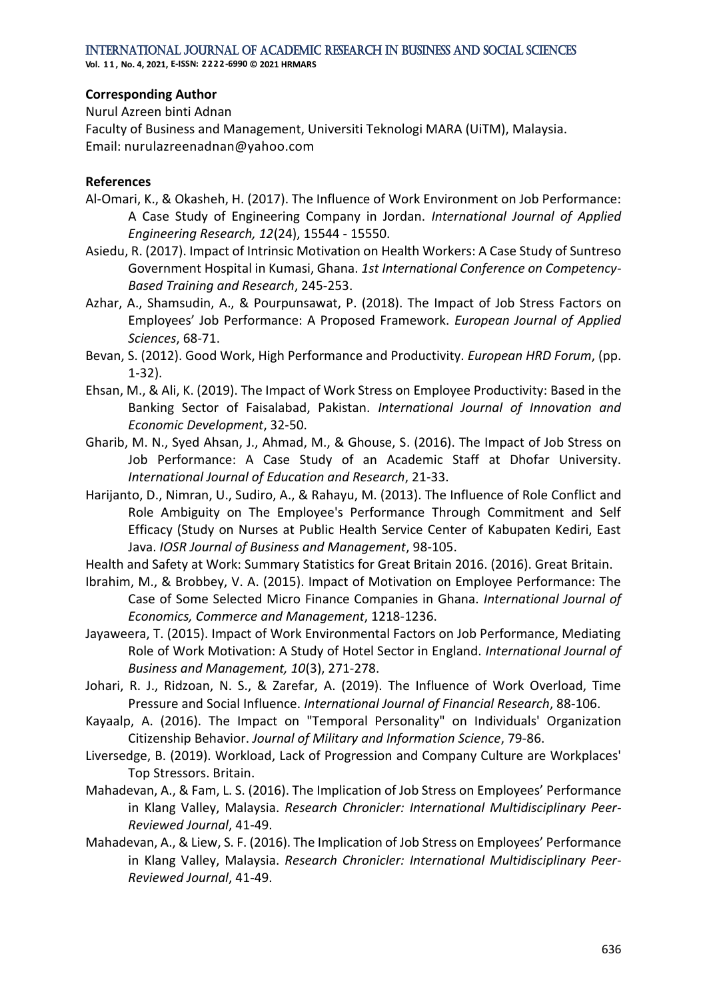**Vol. 1 1 , No. 4, 2021, E-ISSN: 2222-6990 © 2021 HRMARS**

#### **Corresponding Author**

Nurul Azreen binti Adnan Faculty of Business and Management, Universiti Teknologi MARA (UiTM), Malaysia. Email: nurulazreenadnan@yahoo.com

#### **References**

- Al-Omari, K., & Okasheh, H. (2017). The Influence of Work Environment on Job Performance: A Case Study of Engineering Company in Jordan. *International Journal of Applied Engineering Research, 12*(24), 15544 - 15550.
- Asiedu, R. (2017). Impact of Intrinsic Motivation on Health Workers: A Case Study of Suntreso Government Hospital in Kumasi, Ghana. *1st International Conference on Competency-Based Training and Research*, 245-253.
- Azhar, A., Shamsudin, A., & Pourpunsawat, P. (2018). The Impact of Job Stress Factors on Employees' Job Performance: A Proposed Framework. *European Journal of Applied Sciences*, 68-71.
- Bevan, S. (2012). Good Work, High Performance and Productivity. *European HRD Forum*, (pp. 1-32).
- Ehsan, M., & Ali, K. (2019). The Impact of Work Stress on Employee Productivity: Based in the Banking Sector of Faisalabad, Pakistan. *International Journal of Innovation and Economic Development*, 32-50.
- Gharib, M. N., Syed Ahsan, J., Ahmad, M., & Ghouse, S. (2016). The Impact of Job Stress on Job Performance: A Case Study of an Academic Staff at Dhofar University. *International Journal of Education and Research*, 21-33.
- Harijanto, D., Nimran, U., Sudiro, A., & Rahayu, M. (2013). The Influence of Role Conflict and Role Ambiguity on The Employee's Performance Through Commitment and Self Efficacy (Study on Nurses at Public Health Service Center of Kabupaten Kediri, East Java. *IOSR Journal of Business and Management*, 98-105.

Health and Safety at Work: Summary Statistics for Great Britain 2016. (2016). Great Britain.

- Ibrahim, M., & Brobbey, V. A. (2015). Impact of Motivation on Employee Performance: The Case of Some Selected Micro Finance Companies in Ghana. *International Journal of Economics, Commerce and Management*, 1218-1236.
- Jayaweera, T. (2015). Impact of Work Environmental Factors on Job Performance, Mediating Role of Work Motivation: A Study of Hotel Sector in England. *International Journal of Business and Management, 10*(3), 271-278.
- Johari, R. J., Ridzoan, N. S., & Zarefar, A. (2019). The Influence of Work Overload, Time Pressure and Social Influence. *International Journal of Financial Research*, 88-106.
- Kayaalp, A. (2016). The Impact on "Temporal Personality" on Individuals' Organization Citizenship Behavior. *Journal of Military and Information Science*, 79-86.
- Liversedge, B. (2019). Workload, Lack of Progression and Company Culture are Workplaces' Top Stressors. Britain.
- Mahadevan, A., & Fam, L. S. (2016). The Implication of Job Stress on Employees' Performance in Klang Valley, Malaysia. *Research Chronicler: International Multidisciplinary Peer-Reviewed Journal*, 41-49.
- Mahadevan, A., & Liew, S. F. (2016). The Implication of Job Stress on Employees' Performance in Klang Valley, Malaysia. *Research Chronicler: International Multidisciplinary Peer-Reviewed Journal*, 41-49.